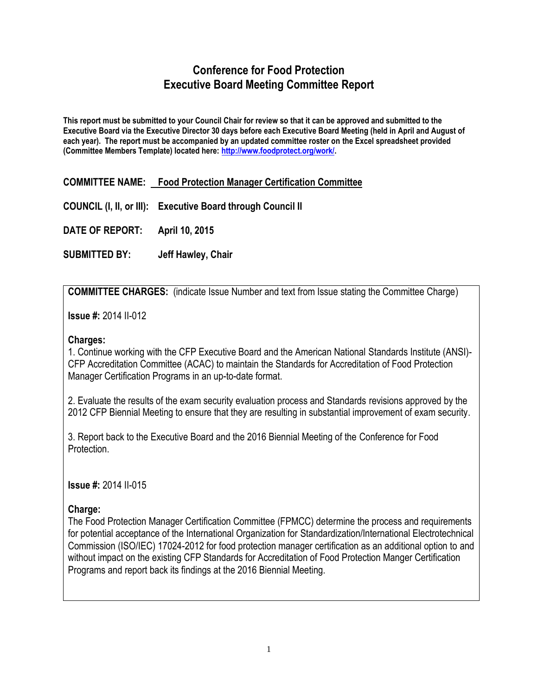# **Conference for Food Protection Executive Board Meeting Committee Report**

**This report must be submitted to your Council Chair for review so that it can be approved and submitted to the Executive Board via the Executive Director 30 days before each Executive Board Meeting (held in April and August of each year). The report must be accompanied by an updated committee roster on the Excel spreadsheet provided (Committee Members Template) located here: [http://www.foodprotect.org/work/.](http://www.foodprotect.org/work/)**

**COMMITTEE NAME: Food Protection Manager Certification Committee**

**COUNCIL (I, II, or III): Executive Board through Council II**

**DATE OF REPORT: April 10, 2015**

**SUBMITTED BY: Jeff Hawley, Chair**

**COMMITTEE CHARGES:** (indicate Issue Number and text from Issue stating the Committee Charge)

**Issue #:** 2014 II-012

#### **Charges:**

1. Continue working with the CFP Executive Board and the American National Standards Institute (ANSI)- CFP Accreditation Committee (ACAC) to maintain the Standards for Accreditation of Food Protection Manager Certification Programs in an up-to-date format.

2. Evaluate the results of the exam security evaluation process and Standards revisions approved by the 2012 CFP Biennial Meeting to ensure that they are resulting in substantial improvement of exam security.

3. Report back to the Executive Board and the 2016 Biennial Meeting of the Conference for Food Protection.

**Issue #:** 2014 II-015

### **Charge:**

The Food Protection Manager Certification Committee (FPMCC) determine the process and requirements for potential acceptance of the International Organization for Standardization/International Electrotechnical Commission (ISO/IEC) 17024-2012 for food protection manager certification as an additional option to and without impact on the existing CFP Standards for Accreditation of Food Protection Manger Certification Programs and report back its findings at the 2016 Biennial Meeting.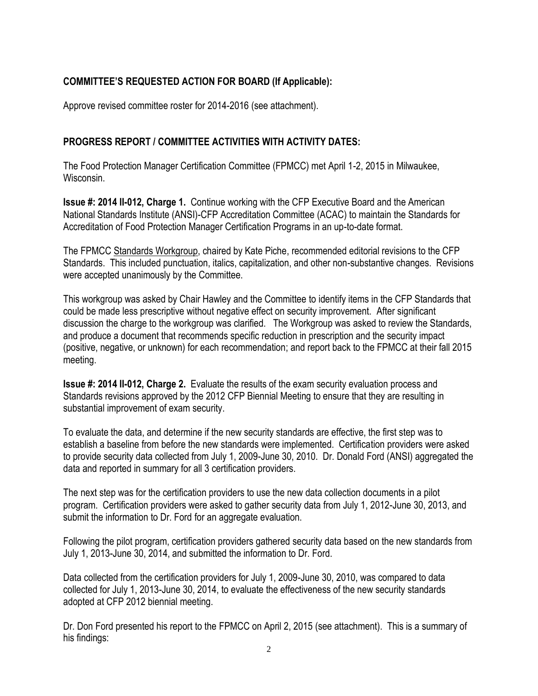## **COMMITTEE'S REQUESTED ACTION FOR BOARD (If Applicable):**

Approve revised committee roster for 2014-2016 (see attachment).

## **PROGRESS REPORT / COMMITTEE ACTIVITIES WITH ACTIVITY DATES:**

The Food Protection Manager Certification Committee (FPMCC) met April 1-2, 2015 in Milwaukee, Wisconsin.

**Issue #: 2014 II-012, Charge 1.** Continue working with the CFP Executive Board and the American National Standards Institute (ANSI)-CFP Accreditation Committee (ACAC) to maintain the Standards for Accreditation of Food Protection Manager Certification Programs in an up-to-date format.

The FPMCC Standards Workgroup, chaired by Kate Piche, recommended editorial revisions to the CFP Standards. This included punctuation, italics, capitalization, and other non-substantive changes. Revisions were accepted unanimously by the Committee.

This workgroup was asked by Chair Hawley and the Committee to identify items in the CFP Standards that could be made less prescriptive without negative effect on security improvement. After significant discussion the charge to the workgroup was clarified. The Workgroup was asked to review the Standards, and produce a document that recommends specific reduction in prescription and the security impact (positive, negative, or unknown) for each recommendation; and report back to the FPMCC at their fall 2015 meeting.

**Issue #: 2014 II-012, Charge 2.** Evaluate the results of the exam security evaluation process and Standards revisions approved by the 2012 CFP Biennial Meeting to ensure that they are resulting in substantial improvement of exam security.

To evaluate the data, and determine if the new security standards are effective, the first step was to establish a baseline from before the new standards were implemented. Certification providers were asked to provide security data collected from July 1, 2009-June 30, 2010. Dr. Donald Ford (ANSI) aggregated the data and reported in summary for all 3 certification providers.

The next step was for the certification providers to use the new data collection documents in a pilot program. Certification providers were asked to gather security data from July 1, 2012-June 30, 2013, and submit the information to Dr. Ford for an aggregate evaluation.

Following the pilot program, certification providers gathered security data based on the new standards from July 1, 2013-June 30, 2014, and submitted the information to Dr. Ford.

Data collected from the certification providers for July 1, 2009-June 30, 2010, was compared to data collected for July 1, 2013-June 30, 2014, to evaluate the effectiveness of the new security standards adopted at CFP 2012 biennial meeting.

Dr. Don Ford presented his report to the FPMCC on April 2, 2015 (see attachment). This is a summary of his findings: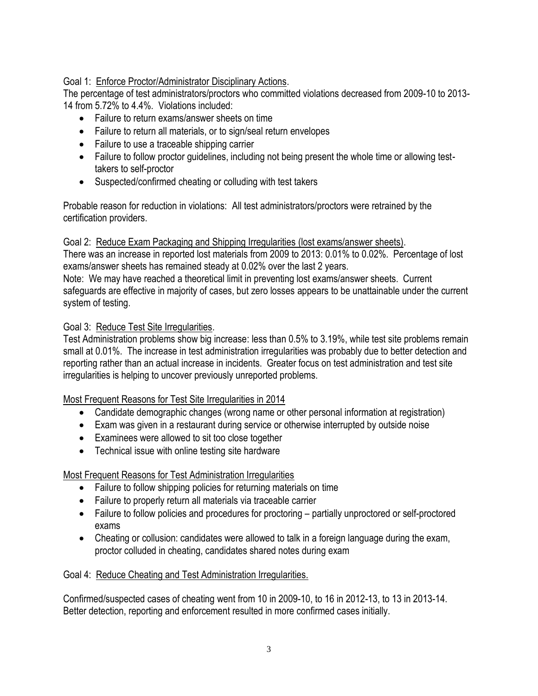## Goal 1: Enforce Proctor/Administrator Disciplinary Actions.

The percentage of test administrators/proctors who committed violations decreased from 2009-10 to 2013- 14 from 5.72% to 4.4%. Violations included:

- Failure to return exams/answer sheets on time
- Failure to return all materials, or to sign/seal return envelopes
- Failure to use a traceable shipping carrier
- Failure to follow proctor quidelines, including not being present the whole time or allowing testtakers to self-proctor
- Suspected/confirmed cheating or colluding with test takers

Probable reason for reduction in violations: All test administrators/proctors were retrained by the certification providers.

#### Goal 2: Reduce Exam Packaging and Shipping Irregularities (lost exams/answer sheets).

There was an increase in reported lost materials from 2009 to 2013: 0.01% to 0.02%. Percentage of lost exams/answer sheets has remained steady at 0.02% over the last 2 years.

Note: We may have reached a theoretical limit in preventing lost exams/answer sheets. Current safeguards are effective in majority of cases, but zero losses appears to be unattainable under the current system of testing.

### Goal 3: Reduce Test Site Irregularities.

Test Administration problems show big increase: less than 0.5% to 3.19%, while test site problems remain small at 0.01%. The increase in test administration irregularities was probably due to better detection and reporting rather than an actual increase in incidents. Greater focus on test administration and test site irregularities is helping to uncover previously unreported problems.

### Most Frequent Reasons for Test Site Irregularities in 2014

- Candidate demographic changes (wrong name or other personal information at registration)
- Exam was given in a restaurant during service or otherwise interrupted by outside noise
- Examinees were allowed to sit too close together
- Technical issue with online testing site hardware

### Most Frequent Reasons for Test Administration Irregularities

- Failure to follow shipping policies for returning materials on time
- Failure to properly return all materials via traceable carrier
- Failure to follow policies and procedures for proctoring partially unproctored or self-proctored exams
- Cheating or collusion: candidates were allowed to talk in a foreign language during the exam, proctor colluded in cheating, candidates shared notes during exam

### Goal 4: Reduce Cheating and Test Administration Irregularities.

Confirmed/suspected cases of cheating went from 10 in 2009-10, to 16 in 2012-13, to 13 in 2013-14. Better detection, reporting and enforcement resulted in more confirmed cases initially.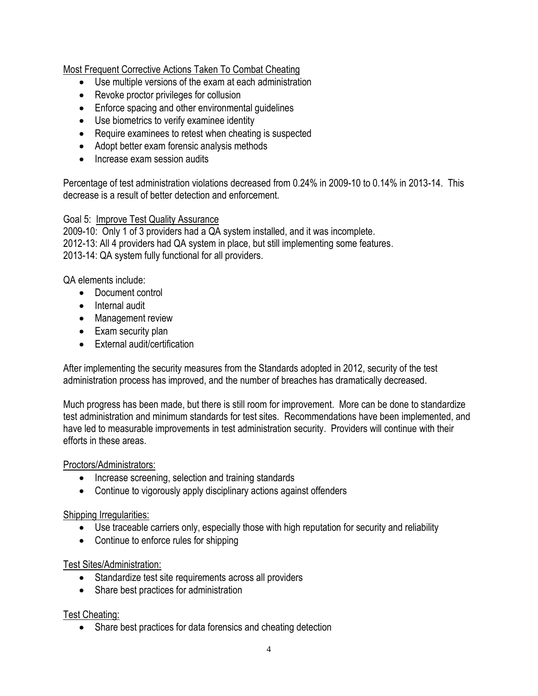### Most Frequent Corrective Actions Taken To Combat Cheating

- Use multiple versions of the exam at each administration
- Revoke proctor privileges for collusion
- Enforce spacing and other environmental guidelines
- Use biometrics to verify examinee identity
- Require examinees to retest when cheating is suspected
- Adopt better exam forensic analysis methods
- Increase exam session audits

Percentage of test administration violations decreased from 0.24% in 2009-10 to 0.14% in 2013-14. This decrease is a result of better detection and enforcement.

#### Goal 5: Improve Test Quality Assurance

2009-10: Only 1 of 3 providers had a QA system installed, and it was incomplete. 2012-13: All 4 providers had QA system in place, but still implementing some features. 2013-14: QA system fully functional for all providers.

QA elements include:

- Document control
- Internal audit
- Management review
- Exam security plan
- External audit/certification

After implementing the security measures from the Standards adopted in 2012, security of the test administration process has improved, and the number of breaches has dramatically decreased.

Much progress has been made, but there is still room for improvement. More can be done to standardize test administration and minimum standards for test sites. Recommendations have been implemented, and have led to measurable improvements in test administration security. Providers will continue with their efforts in these areas.

Proctors/Administrators:

- Increase screening, selection and training standards
- Continue to vigorously apply disciplinary actions against offenders

### Shipping Irregularities:

- Use traceable carriers only, especially those with high reputation for security and reliability
- Continue to enforce rules for shipping

### Test Sites/Administration:

- Standardize test site requirements across all providers
- Share best practices for administration

### Test Cheating:

• Share best practices for data forensics and cheating detection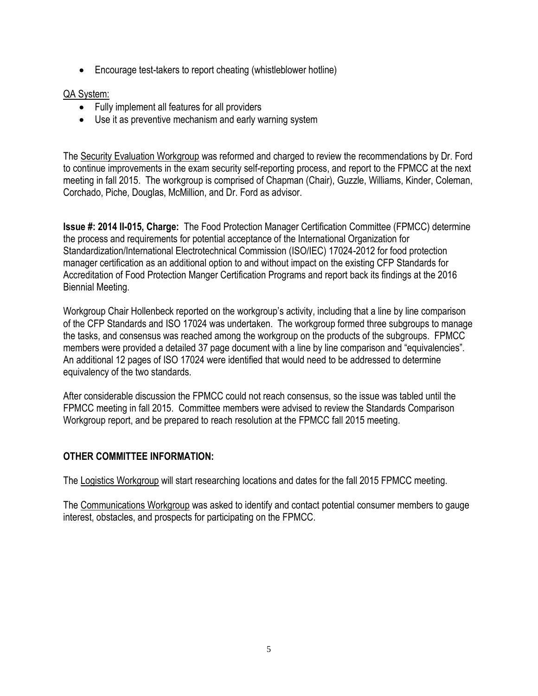Encourage test-takers to report cheating (whistleblower hotline)

## QA System:

- Fully implement all features for all providers
- Use it as preventive mechanism and early warning system

The Security Evaluation Workgroup was reformed and charged to review the recommendations by Dr. Ford to continue improvements in the exam security self-reporting process, and report to the FPMCC at the next meeting in fall 2015. The workgroup is comprised of Chapman (Chair), Guzzle, Williams, Kinder, Coleman, Corchado, Piche, Douglas, McMillion, and Dr. Ford as advisor.

**Issue #: 2014 II-015, Charge:** The Food Protection Manager Certification Committee (FPMCC) determine the process and requirements for potential acceptance of the International Organization for Standardization/International Electrotechnical Commission (ISO/IEC) 17024-2012 for food protection manager certification as an additional option to and without impact on the existing CFP Standards for Accreditation of Food Protection Manger Certification Programs and report back its findings at the 2016 Biennial Meeting.

Workgroup Chair Hollenbeck reported on the workgroup's activity, including that a line by line comparison of the CFP Standards and ISO 17024 was undertaken. The workgroup formed three subgroups to manage the tasks, and consensus was reached among the workgroup on the products of the subgroups. FPMCC members were provided a detailed 37 page document with a line by line comparison and "equivalencies". An additional 12 pages of ISO 17024 were identified that would need to be addressed to determine equivalency of the two standards.

After considerable discussion the FPMCC could not reach consensus, so the issue was tabled until the FPMCC meeting in fall 2015. Committee members were advised to review the Standards Comparison Workgroup report, and be prepared to reach resolution at the FPMCC fall 2015 meeting.

## **OTHER COMMITTEE INFORMATION:**

The Logistics Workgroup will start researching locations and dates for the fall 2015 FPMCC meeting.

The Communications Workgroup was asked to identify and contact potential consumer members to gauge interest, obstacles, and prospects for participating on the FPMCC.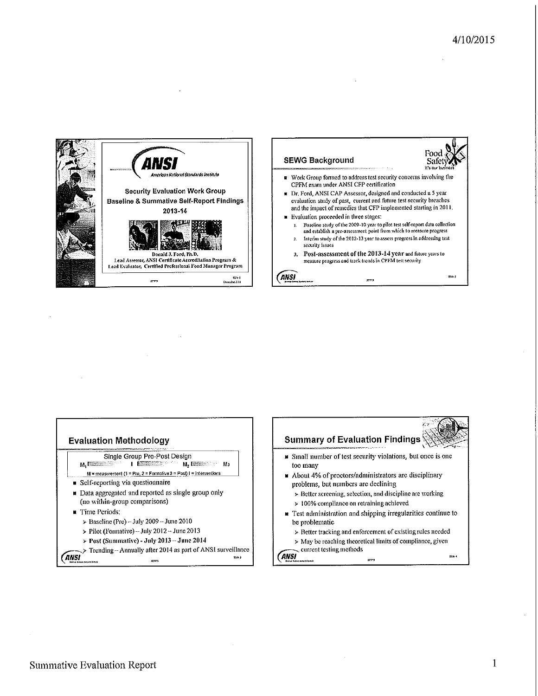



 $570$ 



Summative Evaluation Report

 $\mathbf{1}$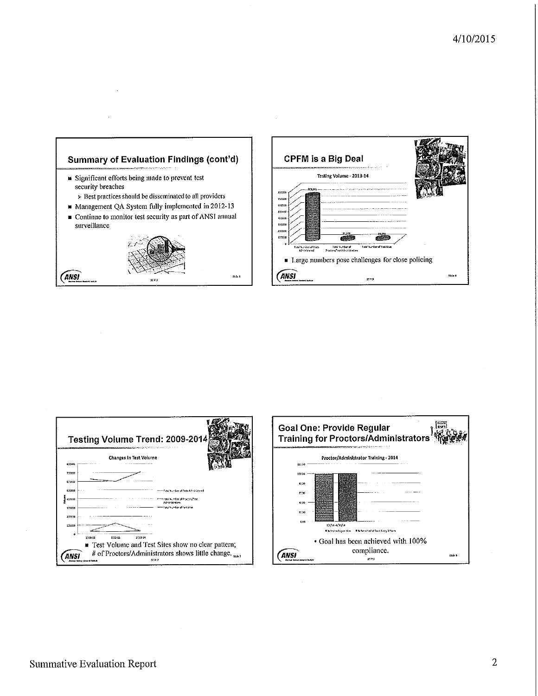





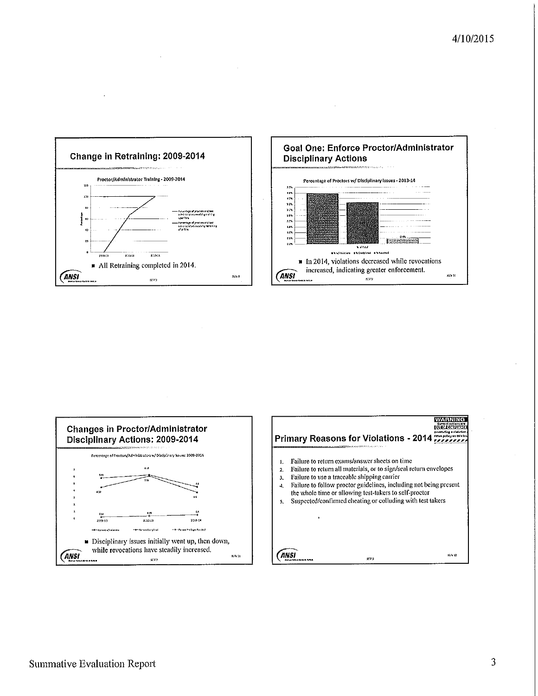



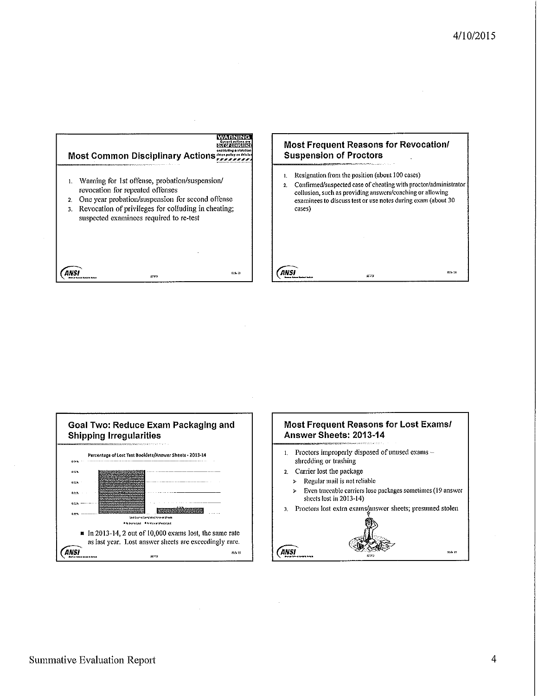$\overline{\mathbf{m}}$  is



#### Most Frequent Reasons for Revocation/ **Suspension of Proctors**

- Resignation from the position (about 100 cases)  ${\bf l}.$
- $\overline{2}$ Confirmed/suspected case of cheating with proctor/administrator collusion, such as providing answers/coaching or allowing examinees to discuss test or use notes during exam (about 30 cases)

 $rac{1}{2}$ 



## **Most Frequent Reasons for Lost Exams/** Answer Sheets: 2013-14

- Proctors improperly disposed of unused exams - $\mathbf{1}$ . shredding or trashing
- Carrier lost the package  $2.$

**ANSI** 

- $\blacktriangleright$ Regular mail is not reliable
- Even traceable carriers lose packages sometimes (19 answer  $\blacktriangleright$ sheets lost in 2013-14)
- 3. Proctors lost extra exams/answer sheets; presumed stolen

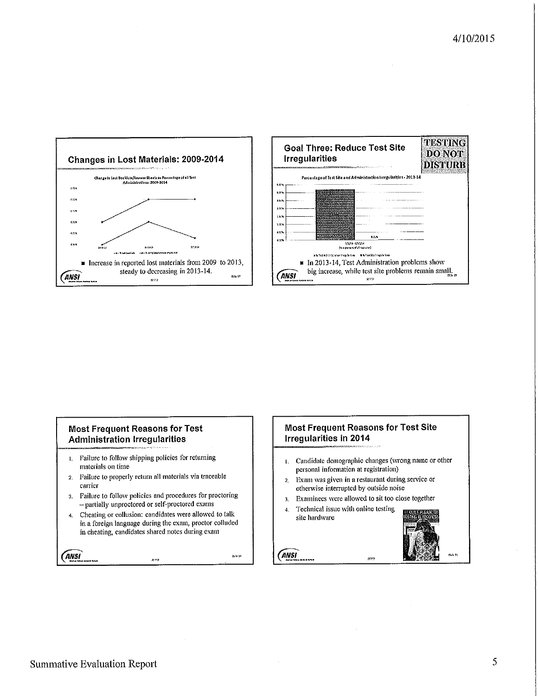



#### **Most Frequent Reasons for Test Administration Irregularities**

- 1. Failure to follow shipping policies for returning materials on time
- Failure to properly return all materials via traceable  $\overline{2}$ . carrier
- Failure to follow policies and procedures for proctoring  $\overline{3}$ . - partially unproctored or self-proctored exams
- Cheating or collusion: candidates were allowed to talk  $\ddot{a}$ in a foreign language during the exam, proctor colluded in cheating, candidates shared notes during exam

ANSI

exe

SSN 11

#### **Most Frequent Reasons for Test Site** Irregularities in 2014

1. Candidate demographic changes (wrong name or other personal information at registration)

540

- Exam was given in a restaurant during service or  $\overline{2}$ . otherwise interrupted by outside noise
- Examinees were allowed to sit too close together  $3.$
- Technical issue with online testing  $\ddot{a}$ site hardware



**ANSI**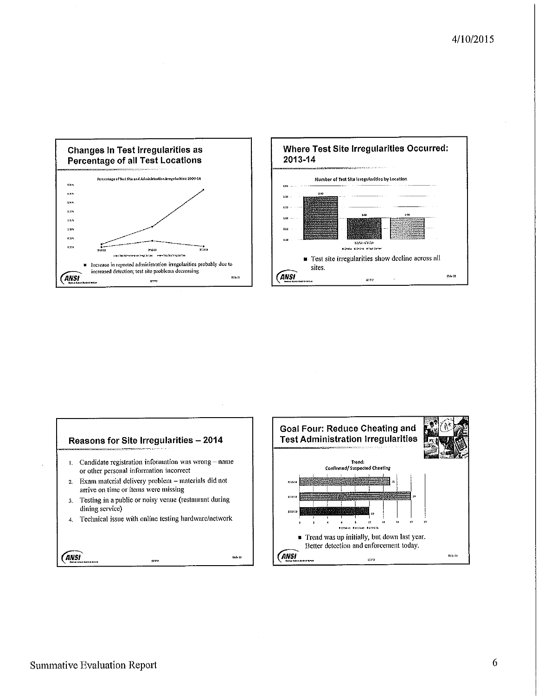





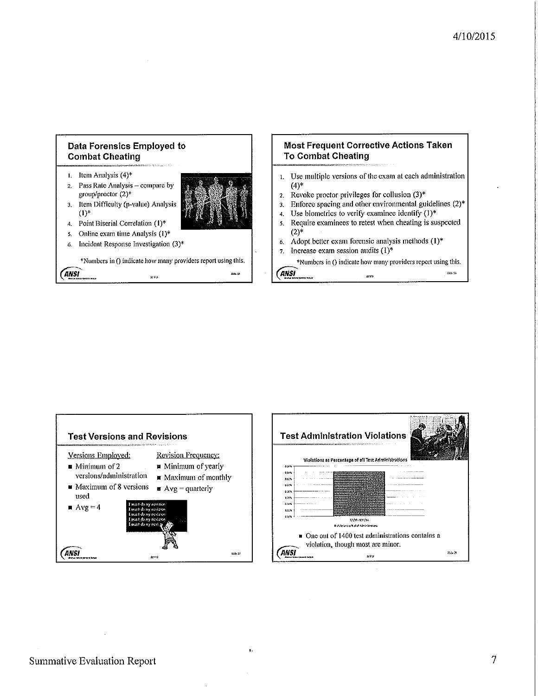



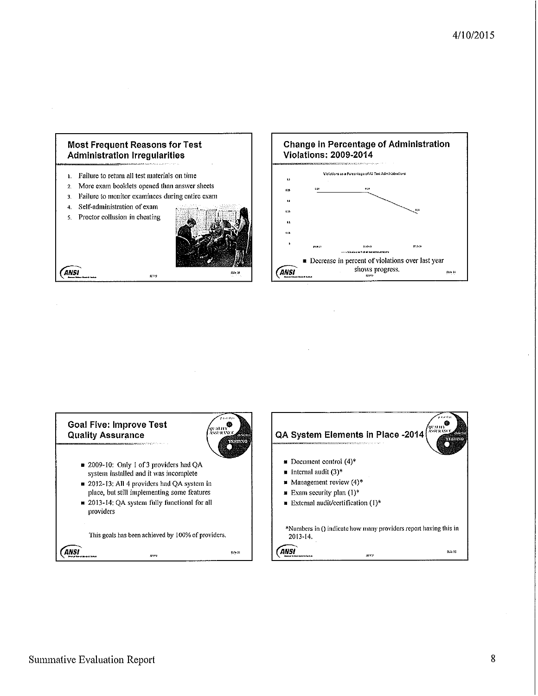



3. Failure to monitor examinees during entire exam

er sig

- Self-administration of exam  $\overline{4}$
- Proctor collusion in cheating  $5<sub>1</sub>$

ANSI







**Summative Evaluation Report**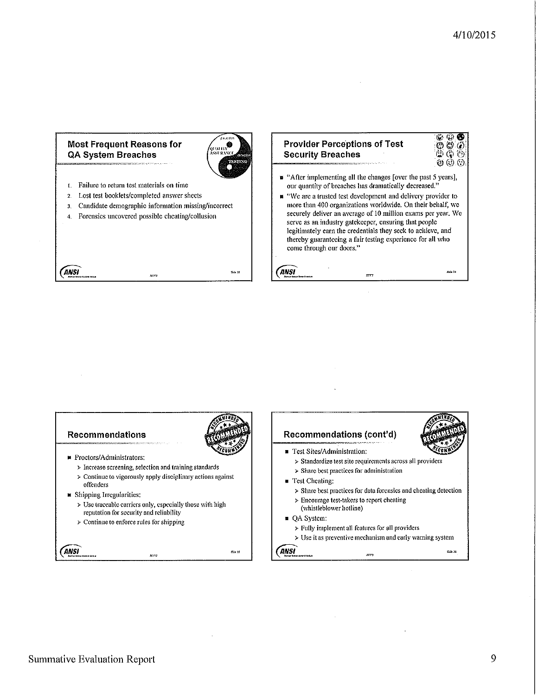رو<br>د منها

<u>ی دی</u>

#### **Most Frequent Reasons for QA System Breaches**



**ANSI** 

- 1. Failure to return test materials on time Lost test booklets/completed answer sheets  $2.$
- Candidate demographic information missing/incorrect  $3<sub>1</sub>$
- 4. Forensics uncovered possible cheating/collusion

| ANSI | 显视 | \$55.30 |
|------|----|---------|

| <b>Provider Perceptions of Test</b>                                                                                             | 0000<br>0000                  |
|---------------------------------------------------------------------------------------------------------------------------------|-------------------------------|
| <b>Security Breaches</b>                                                                                                        |                               |
| <b>CONTRACTOR CONTRACTOR CONTRACTOR CONTRACTOR CONTRACTOR CONTRACTOR CONTRACTOR CONTRACTOR CONTRACTOR CONTRACTOR CONTRACTOR</b> | $\circledcirc$ $\circledcirc$ |

- $\blacksquare$  "After implementing all the changes [over the past 5 years], our quantity of breaches has dramatically decreased."
- "We are a trusted test development and delivery provider to more than 400 organizations worldwide. On their behalf, we securely deliver an average of 10 million exams per year. We serve as an industry gatekeeper, ensuring that people legitimately earn the credentials they seek to achieve, and thereby guaranteeing a fair testing experience for all who come through our doors."

.<br>도구 다

**Recommendations** Recommendations (cont'd) Test Sites/Administration: ■ Proctors/Administrators: > Standardize test site requirements across all providers  $\triangleright$  Increase screening, selection and training standards  $\triangleright$  Share best practices for administration  $\triangleright$  Continue to vigorously apply disciplinary actions against Test Cheating: offenders > Share best practices for data forensics and cheating detection ■ Shipping Irregularities:  $\triangleright$  Encourage test-takers to report cheating > Use traceable carriers only, especially those with high (whistleblower hotline) reputation for security and reliability QA System:  $\triangleright$  Continue to enforce rules for shipping  $\triangleright$  Fully implement all features for all providers  $\triangleright$  Use it as preventive mechanism and early warning system ANSI ANSI **Sta. 35** .<br>Nas д., 73<br>Дата